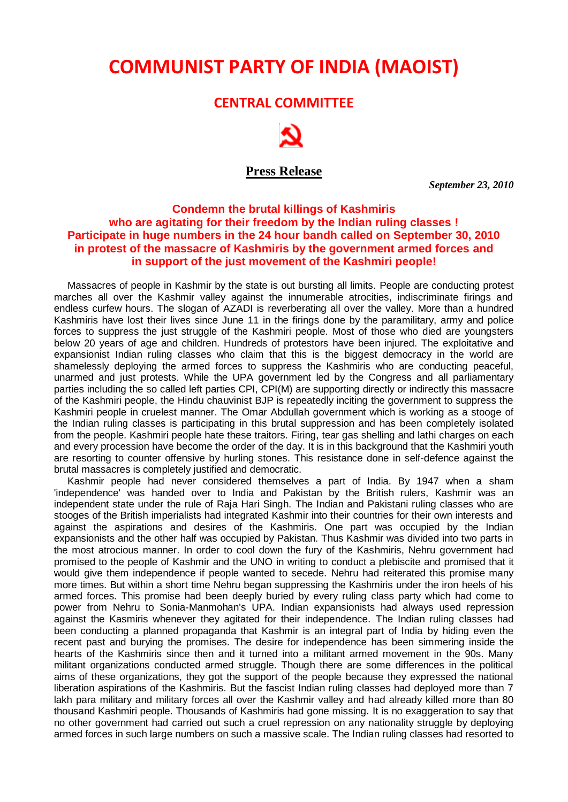# **COMMUNIST PARTY OF INDIA (MAOIST)**

## **CENTRAL COMMITTEE**



## **Press Release**

 *September 23, 2010*

## **Condemn the brutal killings of Kashmiris who are agitating for their freedom by the Indian ruling classes ! Participate in huge numbers in the 24 hour bandh called on September 30, 2010 in protest of the massacre of Kashmiris by the government armed forces and in support of the just movement of the Kashmiri people!**

Massacres of people in Kashmir by the state is out bursting all limits. People are conducting protest marches all over the Kashmir valley against the innumerable atrocities, indiscriminate firings and endless curfew hours. The slogan of AZADI is reverberating all over the valley. More than a hundred Kashmiris have lost their lives since June 11 in the firings done by the paramilitary, army and police forces to suppress the just struggle of the Kashmiri people. Most of those who died are youngsters below 20 years of age and children. Hundreds of protestors have been injured. The exploitative and expansionist Indian ruling classes who claim that this is the biggest democracy in the world are shamelessly deploying the armed forces to suppress the Kashmiris who are conducting peaceful, unarmed and just protests. While the UPA government led by the Congress and all parliamentary parties including the so called left parties CPI, CPI(M) are supporting directly or indirectly this massacre of the Kashmiri people, the Hindu chauvinist BJP is repeatedly inciting the government to suppress the Kashmiri people in cruelest manner. The Omar Abdullah government which is working as a stooge of the Indian ruling classes is participating in this brutal suppression and has been completely isolated from the people. Kashmiri people hate these traitors. Firing, tear gas shelling and lathi charges on each and every procession have become the order of the day. It is in this background that the Kashmiri youth are resorting to counter offensive by hurling stones. This resistance done in self-defence against the brutal massacres is completely justified and democratic.

Kashmir people had never considered themselves a part of India. By 1947 when a sham 'independence' was handed over to India and Pakistan by the British rulers, Kashmir was an independent state under the rule of Raja Hari Singh. The Indian and Pakistani ruling classes who are stooges of the British imperialists had integrated Kashmir into their countries for their own interests and against the aspirations and desires of the Kashmiris. One part was occupied by the Indian expansionists and the other half was occupied by Pakistan. Thus Kashmir was divided into two parts in the most atrocious manner. In order to cool down the fury of the Kashmiris, Nehru government had promised to the people of Kashmir and the UNO in writing to conduct a plebiscite and promised that it would give them independence if people wanted to secede. Nehru had reiterated this promise many more times. But within a short time Nehru began suppressing the Kashmiris under the iron heels of his armed forces. This promise had been deeply buried by every ruling class party which had come to power from Nehru to Sonia-Manmohan's UPA. Indian expansionists had always used repression against the Kasmiris whenever they agitated for their independence. The Indian ruling classes had been conducting a planned propaganda that Kashmir is an integral part of India by hiding even the recent past and burying the promises. The desire for independence has been simmering inside the hearts of the Kashmiris since then and it turned into a militant armed movement in the 90s. Many militant organizations conducted armed struggle. Though there are some differences in the political aims of these organizations, they got the support of the people because they expressed the national liberation aspirations of the Kashmiris. But the fascist Indian ruling classes had deployed more than 7 lakh para military and military forces all over the Kashmir valley and had already killed more than 80 thousand Kashmiri people. Thousands of Kashmiris had gone missing. It is no exaggeration to say that no other government had carried out such a cruel repression on any nationality struggle by deploying armed forces in such large numbers on such a massive scale. The Indian ruling classes had resorted to